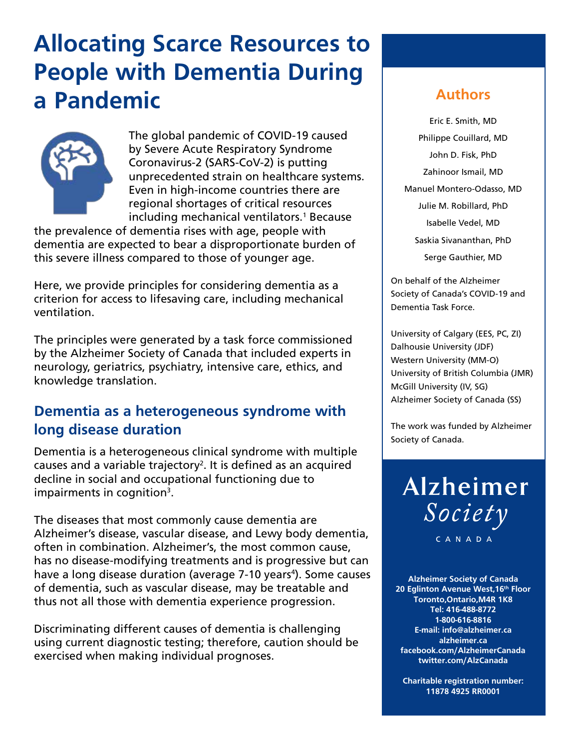## **Allocating Scarce Resources to People with Dementia During a Pandemic Authors**



The global pandemic of COVID-19 caused by Severe Acute Respiratory Syndrome Coronavirus-2 (SARS-CoV-2) is putting unprecedented strain on healthcare systems. Even in high-income countries there are regional shortages of critical resources including mechanical ventilators.<sup>1</sup> Because

the prevalence of dementia rises with age, people with dementia are expected to bear a disproportionate burden of this severe illness compared to those of younger age.

Here, we provide principles for considering dementia as a criterion for access to lifesaving care, including mechanical ventilation.

The principles were generated by a task force commissioned by the Alzheimer Society of Canada that included experts in neurology, geriatrics, psychiatry, intensive care, ethics, and knowledge translation.

#### **Dementia as a heterogeneous syndrome with long disease duration**

Dementia is a heterogeneous clinical syndrome with multiple causes and a variable trajectory<sup>2</sup>. It is defined as an acquired decline in social and occupational functioning due to impairments in cognition<sup>3</sup>.

The diseases that most commonly cause dementia are Alzheimer's disease, vascular disease, and Lewy body dementia, often in combination. Alzheimer's, the most common cause, has no disease-modifying treatments and is progressive but can have a long disease duration (average 7-10 years<sup>4</sup>). Some causes of dementia, such as vascular disease, may be treatable and thus not all those with dementia experience progression.

Discriminating different causes of dementia is challenging using current diagnostic testing; therefore, caution should be exercised when making individual prognoses.

Eric E. Smith, MD Philippe Couillard, MD John D. Fisk, PhD Zahinoor Ismail, MD Manuel Montero-Odasso, MD Julie M. Robillard, PhD Isabelle Vedel, MD Saskia Sivananthan, PhD Serge Gauthier, MD

On behalf of the Alzheimer Society of Canada's COVID-19 and Dementia Task Force.

University of Calgary (EES, PC, ZI) Dalhousie University (JDF) Western University (MM-O) University of British Columbia (JMR) McGill University (IV, SG) Alzheimer Society of Canada (SS)

The work was funded by Alzheimer Society of Canada.

Alzheimer Society

CANADA

**Alzheimer Society of Canada 20 Eglinton Avenue West, 16th Floor Toronto, Ontario, M4R 1K8 Tel: 416-488-8772 1-800-616-8816 E-mail: info@alzheimer.ca alzheimer.ca facebook.com/AlzheimerCanada twitter.com/AlzCanada**

**Charitable registration number: 11878 4925 RR0001**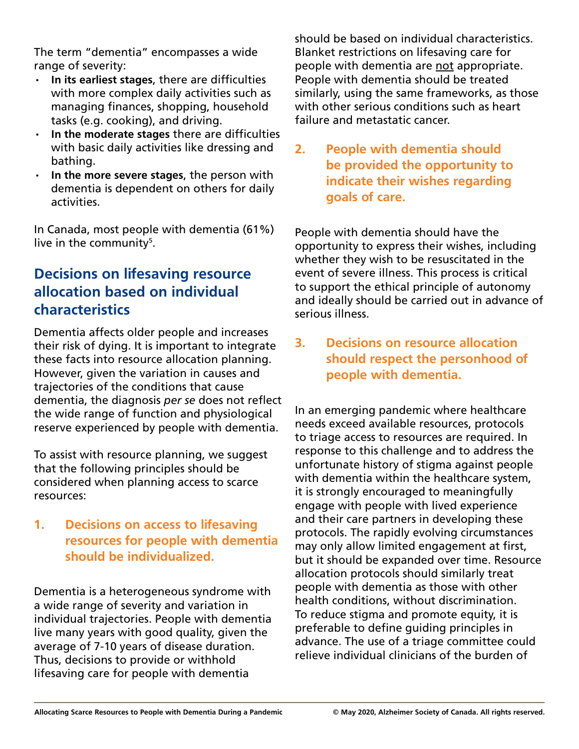The term "dementia" encompasses a wide range of severity:

- In its earliest stages, there are difficulties with more complex daily activities such as managing finances, shopping, household tasks (e.g. cooking), and driving.
- **In the moderate stages there are difficulties** with basic daily activities like dressing and bathing.
- In the more severe stages, the person with dementia is dependent on others for daily activities.

In Canada, most people with dementia (61%) live in the community<sup>5</sup>.

### **Decisions on lifesaving resource allocation based on individual characteristics**

Dementia affects older people and increases their risk of dying. It is important to integrate these facts into resource allocation planning. However, given the variation in causes and trajectories of the conditions that cause dementia, the diagnosis *per se* does not reflect the wide range of function and physiological reserve experienced by people with dementia.

To assist with resource planning, we suggest that the following principles should be considered when planning access to scarce resources:

#### **1. Decisions on access to lifesaving resources for people with dementia should be individualized.**

Dementia is a heterogeneous syndrome with a wide range of severity and variation in individual trajectories. People with dementia live many years with good quality, given the average of 7-10 years of disease duration. Thus, decisions to provide or withhold lifesaving care for people with dementia

should be based on individual characteristics. Blanket restrictions on lifesaving care for people with dementia are not appropriate. People with dementia should be treated similarly, using the same frameworks, as those with other serious conditions such as heart failure and metastatic cancer.

**2. People with dementia should be provided the opportunity to indicate their wishes regarding goals of care.**

People with dementia should have the opportunity to express their wishes, including whether they wish to be resuscitated in the event of severe illness. This process is critical to support the ethical principle of autonomy and ideally should be carried out in advance of serious illness.

**3. Decisions on resource allocation should respect the personhood of people with dementia.**

In an emerging pandemic where healthcare needs exceed available resources, protocols to triage access to resources are required. In response to this challenge and to address the unfortunate history of stigma against people with dementia within the healthcare system, it is strongly encouraged to meaningfully engage with people with lived experience and their care partners in developing these protocols. The rapidly evolving circumstances may only allow limited engagement at first, but it should be expanded over time. Resource allocation protocols should similarly treat people with dementia as those with other health conditions, without discrimination. To reduce stigma and promote equity, it is preferable to define guiding principles in advance. The use of a triage committee could relieve individual clinicians of the burden of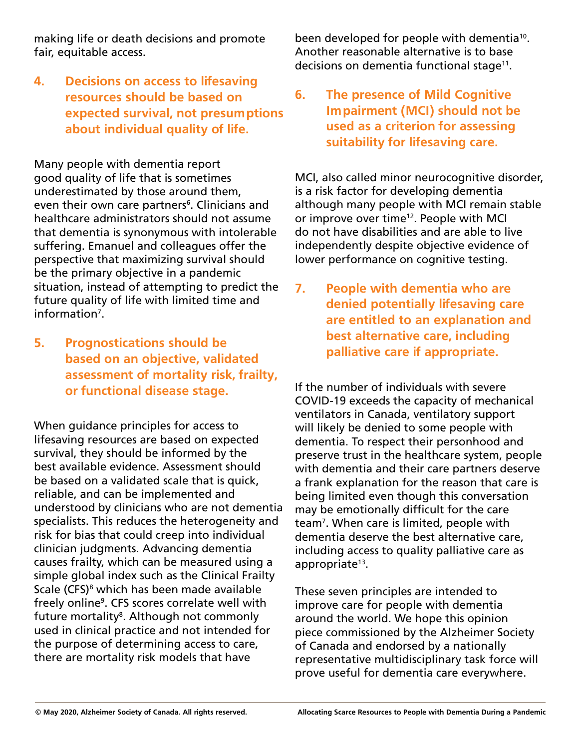making life or death decisions and promote fair, equitable access.

#### **4. Decisions on access to lifesaving resources should be based on expected survival, not presumptions about individual quality of life.**

Many people with dementia report good quality of life that is sometimes underestimated by those around them, even their own care partners<sup>6</sup>. Clinicians and healthcare administrators should not assume that dementia is synonymous with intolerable suffering. Emanuel and colleagues offer the perspective that maximizing survival should be the primary objective in a pandemic situation, instead of attempting to predict the future quality of life with limited time and information<sup>7</sup>.

**5. Prognostications should be based on an objective, validated assessment of mortality risk, frailty, or functional disease stage.** 

When guidance principles for access to lifesaving resources are based on expected survival, they should be informed by the best available evidence. Assessment should be based on a validated scale that is quick, reliable, and can be implemented and understood by clinicians who are not dementia specialists. This reduces the heterogeneity and risk for bias that could creep into individual clinician judgments. Advancing dementia causes frailty, which can be measured using a simple global index such as the Clinical Frailty Scale (CFS)<sup>8</sup> which has been made available freely online<sup>9</sup>. CFS scores correlate well with future mortality<sup>8</sup>. Although not commonly used in clinical practice and not intended for the purpose of determining access to care, there are mortality risk models that have

been developed for people with dementia<sup>10</sup>. Another reasonable alternative is to base decisions on dementia functional stage<sup>11</sup>.

**6. The presence of Mild Cognitive Impairment (MCI) should not be used as a criterion for assessing suitability for lifesaving care.**

MCI, also called minor neurocognitive disorder, is a risk factor for developing dementia although many people with MCI remain stable or improve over time<sup>12</sup>. People with MCI do not have disabilities and are able to live independently despite objective evidence of lower performance on cognitive testing.

**7. People with dementia who are denied potentially lifesaving care are entitled to an explanation and best alternative care, including palliative care if appropriate.**

If the number of individuals with severe COVID-19 exceeds the capacity of mechanical ventilators in Canada, ventilatory support will likely be denied to some people with dementia. To respect their personhood and preserve trust in the healthcare system, people with dementia and their care partners deserve a frank explanation for the reason that care is being limited even though this conversation may be emotionally difficult for the care team7 . When care is limited, people with dementia deserve the best alternative care, including access to quality palliative care as appropriate $13$ .

These seven principles are intended to improve care for people with dementia around the world. We hope this opinion piece commissioned by the Alzheimer Society of Canada and endorsed by a nationally representative multidisciplinary task force will prove useful for dementia care everywhere.